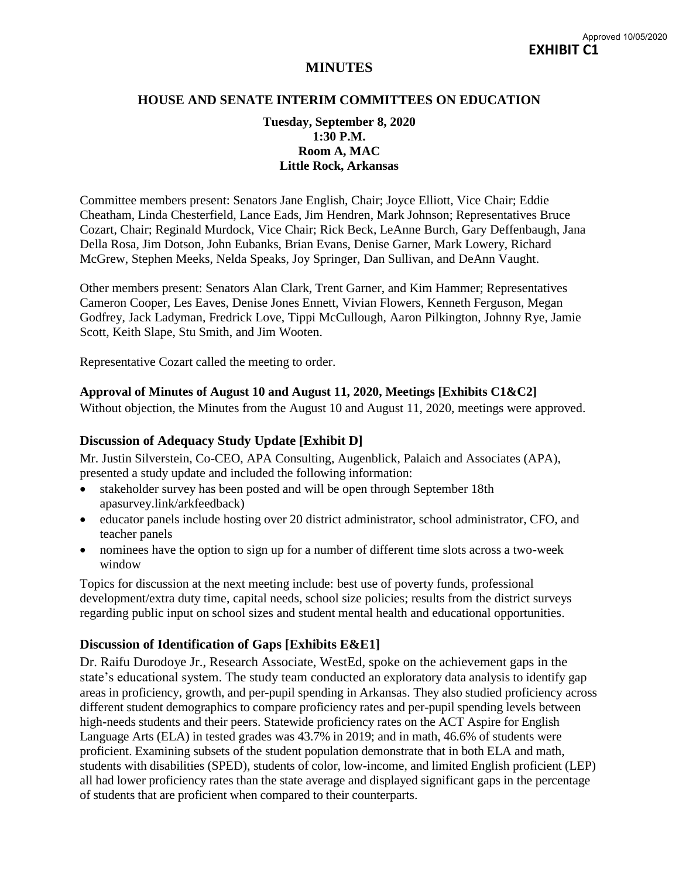# **MINUTES**

#### **HOUSE AND SENATE INTERIM COMMITTEES ON EDUCATION**

### **Tuesday, September 8, 2020 1:30 P.M. Room A, MAC Little Rock, Arkansas**

Committee members present: Senators Jane English, Chair; Joyce Elliott, Vice Chair; Eddie Cheatham, Linda Chesterfield, Lance Eads, Jim Hendren, Mark Johnson; Representatives Bruce Cozart, Chair; Reginald Murdock, Vice Chair; Rick Beck, LeAnne Burch, Gary Deffenbaugh, Jana Della Rosa, Jim Dotson, John Eubanks, Brian Evans, Denise Garner, Mark Lowery, Richard McGrew, Stephen Meeks, Nelda Speaks, Joy Springer, Dan Sullivan, and DeAnn Vaught.

Other members present: Senators Alan Clark, Trent Garner, and Kim Hammer; Representatives Cameron Cooper, Les Eaves, Denise Jones Ennett, Vivian Flowers, Kenneth Ferguson, Megan Godfrey, Jack Ladyman, Fredrick Love, Tippi McCullough, Aaron Pilkington, Johnny Rye, Jamie Scott, Keith Slape, Stu Smith, and Jim Wooten.

Representative Cozart called the meeting to order.

#### **Approval of Minutes of August 10 and August 11, 2020, Meetings [Exhibits C1&C2]**

Without objection, the Minutes from the August 10 and August 11, 2020, meetings were approved.

# **Discussion of Adequacy Study Update [Exhibit D]**

Mr. Justin Silverstein, Co-CEO, APA Consulting, Augenblick, Palaich and Associates (APA), presented a study update and included the following information:

- stakeholder survey has been posted and will be open through September 18th apasurvey.link/arkfeedback)
- educator panels include hosting over 20 district administrator, school administrator, CFO, and teacher panels
- nominees have the option to sign up for a number of different time slots across a two-week window

Topics for discussion at the next meeting include: best use of poverty funds, professional development/extra duty time, capital needs, school size policies; results from the district surveys regarding public input on school sizes and student mental health and educational opportunities.

# **Discussion of Identification of Gaps [Exhibits E&E1]**

Dr. Raifu Durodoye Jr., Research Associate, WestEd, spoke on the achievement gaps in the state's educational system. The study team conducted an exploratory data analysis to identify gap areas in proficiency, growth, and per-pupil spending in Arkansas. They also studied proficiency across different student demographics to compare proficiency rates and per-pupil spending levels between high-needs students and their peers. Statewide proficiency rates on the ACT Aspire for English Language Arts (ELA) in tested grades was 43.7% in 2019; and in math, 46.6% of students were proficient. Examining subsets of the student population demonstrate that in both ELA and math, students with disabilities (SPED), students of color, low-income, and limited English proficient (LEP) all had lower proficiency rates than the state average and displayed significant gaps in the percentage of students that are proficient when compared to their counterparts.